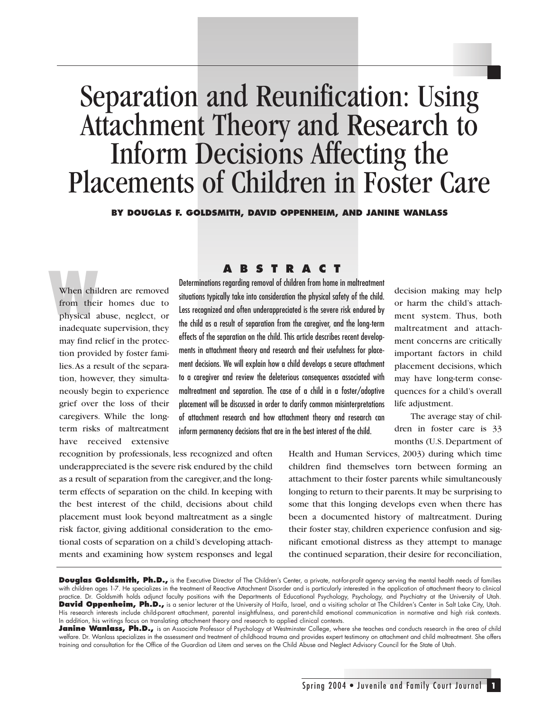# Separation and Reunification: Using Attachment Theory and Research to<br>Inform Decisions Affecting the<br>Placements of Children in Foster Care

**BY DOUGLAS F. GOLDSMITH, DAVID OPPENHEIM, AND JANINE WANLASS**

When chi<br>from the<br>physical<br>indexnet When children are removed from their homes due to physical abuse, neglect, or inadequate supervision, they may find relief in the protection provided by foster families.As a result of the separation, however, they simultaneously begin to experience grief over the loss of their caregivers. While the longterm risks of maltreatment have received extensive

# **ABSTRACT**

Determinations regarding removal of children from home in maltreatment situations typically take into consideration the physical safety of the child. Less recognized and often underappreciated is the severe risk endured by the child as a result of separation from the caregiver, and the long-term effects of the separation on the child. This article describes recent developments in attachment theory and research and their usefulness for placement decisions. We will explain how a child develops a secure attachment to a caregiver and review the deleterious consequences associated with maltreatment and separation. The case of a child in a foster/adoptive placement will be discussed in order to clarify common misinterpretations of attachment research and how attachment theory and research can inform permanency decisions that are in the best interest of the child.

recognition by professionals, less recognized and often underappreciated is the severe risk endured by the child as a result of separation from the caregiver, and the longterm effects of separation on the child. In keeping with the best interest of the child, decisions about child placement must look beyond maltreatment as a single risk factor, giving additional consideration to the emotional costs of separation on a child's developing attachments and examining how system responses and legal

decision making may help or harm the child's attachment system. Thus, both maltreatment and attachment concerns are critically important factors in child placement decisions, which may have long-term consequences for a child's overall life adjustment.

The average stay of children in foster care is 33 months (U.S. Department of

Health and Human Services, 2003) during which time children find themselves torn between forming an attachment to their foster parents while simultaneously longing to return to their parents.It may be surprising to some that this longing develops even when there has been a documented history of maltreatment. During their foster stay, children experience confusion and significant emotional distress as they attempt to manage the continued separation, their desire for reconciliation,

Douglas Goldsmith, Ph.D., is the Executive Director of The Children's Center, a private, not-for-profit agency serving the mental health needs of families with children ages 1-7. He specializes in the treatment of Reactive Attachment Disorder and is particularly interested in the application of attachment theory to clinical practice. Dr. Goldsmith holds adjunct faculty positions with the Departments of Educational Psychology, Psychology, and Psychiatry at the University of Utah. David Oppenheim, Ph.D., is a senior lecturer at the University of Haifa, Israel, and a visiting scholar at The Children's Center in Salt Lake City, Utah. His research interests include child-parent attachment, parental insightfulness, and parent-child emotional communication in normative and high risk contexts. In addition, his writings focus on translating attachment theory and research to applied clinical contexts.

**Janine Wanlass, Ph.D.,** is an Associate Professor of Psychology at Westminster College, where she teaches and conducts research in the area of child welfare. Dr. Wanlass specializes in the assessment and treatment of childhood trauma and provides expert testimony on attachment and child maltreatment. She offers training and consultation for the Office of the Guardian ad Litem and serves on the Child Abuse and Neglect Advisory Council for the State of Utah.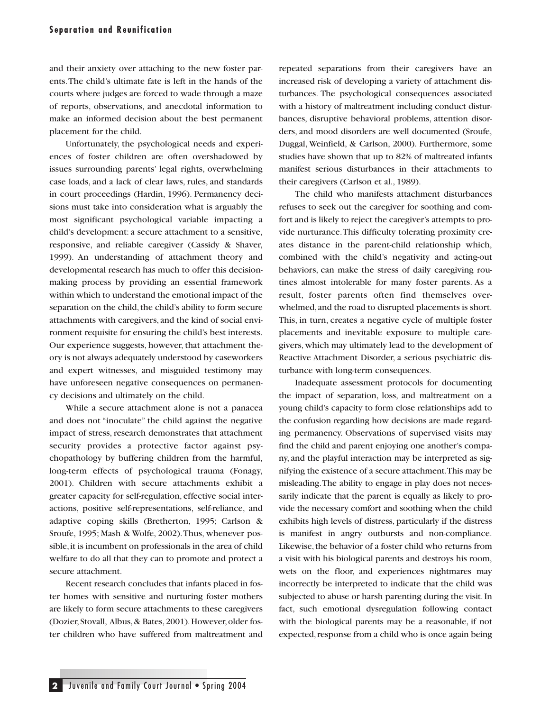# **Separation and Reunification**

and their anxiety over attaching to the new foster parents.The child's ultimate fate is left in the hands of the courts where judges are forced to wade through a maze of reports, observations, and anecdotal information to make an informed decision about the best permanent placement for the child.

Unfortunately, the psychological needs and experiences of foster children are often overshadowed by issues surrounding parents' legal rights, overwhelming case loads, and a lack of clear laws, rules, and standards in court proceedings (Hardin, 1996). Permanency decisions must take into consideration what is arguably the most significant psychological variable impacting a child's development: a secure attachment to a sensitive, responsive, and reliable caregiver (Cassidy & Shaver, 1999). An understanding of attachment theory and developmental research has much to offer this decisionmaking process by providing an essential framework within which to understand the emotional impact of the separation on the child, the child's ability to form secure attachments with caregivers, and the kind of social environment requisite for ensuring the child's best interests. Our experience suggests, however, that attachment theory is not always adequately understood by caseworkers and expert witnesses, and misguided testimony may have unforeseen negative consequences on permanency decisions and ultimately on the child.

While a secure attachment alone is not a panacea and does not "inoculate" the child against the negative impact of stress, research demonstrates that attachment security provides a protective factor against psychopathology by buffering children from the harmful, long-term effects of psychological trauma (Fonagy, 2001). Children with secure attachments exhibit a greater capacity for self-regulation, effective social interactions, positive self-representations, self-reliance, and adaptive coping skills (Bretherton, 1995; Carlson & Sroufe, 1995; Mash & Wolfe, 2002).Thus, whenever possible, it is incumbent on professionals in the area of child welfare to do all that they can to promote and protect a secure attachment.

Recent research concludes that infants placed in foster homes with sensitive and nurturing foster mothers are likely to form secure attachments to these caregivers (Dozier, Stovall, Albus, & Bates, 2001). However, older foster children who have suffered from maltreatment and repeated separations from their caregivers have an increased risk of developing a variety of attachment disturbances. The psychological consequences associated with a history of maltreatment including conduct disturbances, disruptive behavioral problems, attention disorders, and mood disorders are well documented (Sroufe, Duggal, Weinfield, & Carlson, 2000). Furthermore, some studies have shown that up to 82% of maltreated infants manifest serious disturbances in their attachments to their caregivers (Carlson et al., 1989).

The child who manifests attachment disturbances refuses to seek out the caregiver for soothing and comfort and is likely to reject the caregiver's attempts to provide nurturance.This difficulty tolerating proximity creates distance in the parent-child relationship which, combined with the child's negativity and acting-out behaviors, can make the stress of daily caregiving routines almost intolerable for many foster parents. As a result, foster parents often find themselves overwhelmed,and the road to disrupted placements is short. This, in turn, creates a negative cycle of multiple foster placements and inevitable exposure to multiple caregivers, which may ultimately lead to the development of Reactive Attachment Disorder, a serious psychiatric disturbance with long-term consequences.

Inadequate assessment protocols for documenting the impact of separation, loss, and maltreatment on a young child's capacity to form close relationships add to the confusion regarding how decisions are made regarding permanency. Observations of supervised visits may find the child and parent enjoying one another's company, and the playful interaction may be interpreted as signifying the existence of a secure attachment.This may be misleading.The ability to engage in play does not necessarily indicate that the parent is equally as likely to provide the necessary comfort and soothing when the child exhibits high levels of distress, particularly if the distress is manifest in angry outbursts and non-compliance. Likewise, the behavior of a foster child who returns from a visit with his biological parents and destroys his room, wets on the floor, and experiences nightmares may incorrectly be interpreted to indicate that the child was subjected to abuse or harsh parenting during the visit.In fact, such emotional dysregulation following contact with the biological parents may be a reasonable, if not expected, response from a child who is once again being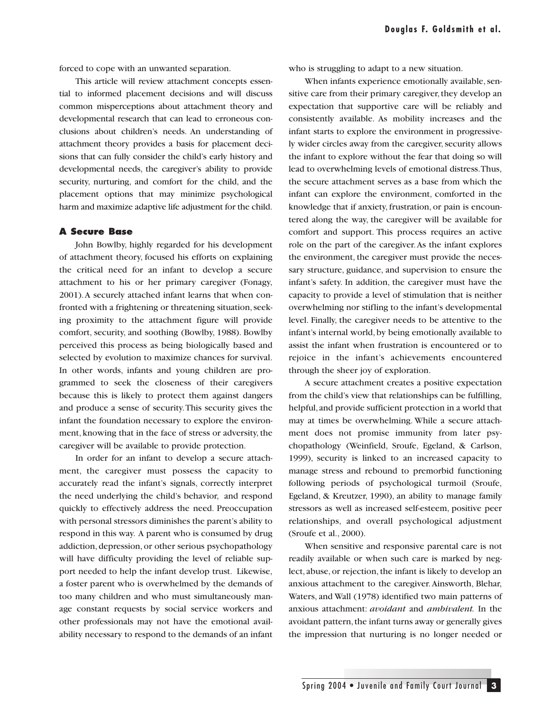forced to cope with an unwanted separation.

This article will review attachment concepts essential to informed placement decisions and will discuss common misperceptions about attachment theory and developmental research that can lead to erroneous conclusions about children's needs. An understanding of attachment theory provides a basis for placement decisions that can fully consider the child's early history and developmental needs, the caregiver's ability to provide security, nurturing, and comfort for the child, and the placement options that may minimize psychological harm and maximize adaptive life adjustment for the child.

# **A Secure Base**

John Bowlby, highly regarded for his development of attachment theory, focused his efforts on explaining the critical need for an infant to develop a secure attachment to his or her primary caregiver (Fonagy, 2001).A securely attached infant learns that when confronted with a frightening or threatening situation, seeking proximity to the attachment figure will provide comfort, security, and soothing (Bowlby, 1988). Bowlby perceived this process as being biologically based and selected by evolution to maximize chances for survival. In other words, infants and young children are programmed to seek the closeness of their caregivers because this is likely to protect them against dangers and produce a sense of security.This security gives the infant the foundation necessary to explore the environment, knowing that in the face of stress or adversity, the caregiver will be available to provide protection.

In order for an infant to develop a secure attachment, the caregiver must possess the capacity to accurately read the infant's signals, correctly interpret the need underlying the child's behavior, and respond quickly to effectively address the need. Preoccupation with personal stressors diminishes the parent's ability to respond in this way. A parent who is consumed by drug addiction, depression, or other serious psychopathology will have difficulty providing the level of reliable support needed to help the infant develop trust. Likewise, a foster parent who is overwhelmed by the demands of too many children and who must simultaneously manage constant requests by social service workers and other professionals may not have the emotional availability necessary to respond to the demands of an infant

who is struggling to adapt to a new situation.

When infants experience emotionally available, sensitive care from their primary caregiver, they develop an expectation that supportive care will be reliably and consistently available. As mobility increases and the infant starts to explore the environment in progressively wider circles away from the caregiver, security allows the infant to explore without the fear that doing so will lead to overwhelming levels of emotional distress.Thus, the secure attachment serves as a base from which the infant can explore the environment, comforted in the knowledge that if anxiety, frustration, or pain is encountered along the way, the caregiver will be available for comfort and support. This process requires an active role on the part of the caregiver.As the infant explores the environment, the caregiver must provide the necessary structure, guidance, and supervision to ensure the infant's safety. In addition, the caregiver must have the capacity to provide a level of stimulation that is neither overwhelming nor stifling to the infant's developmental level. Finally, the caregiver needs to be attentive to the infant's internal world, by being emotionally available to assist the infant when frustration is encountered or to rejoice in the infant's achievements encountered through the sheer joy of exploration.

A secure attachment creates a positive expectation from the child's view that relationships can be fulfilling, helpful, and provide sufficient protection in a world that may at times be overwhelming. While a secure attachment does not promise immunity from later psychopathology (Weinfield, Sroufe, Egeland, & Carlson, 1999), security is linked to an increased capacity to manage stress and rebound to premorbid functioning following periods of psychological turmoil (Sroufe, Egeland, & Kreutzer, 1990), an ability to manage family stressors as well as increased self-esteem, positive peer relationships, and overall psychological adjustment (Sroufe et al., 2000).

When sensitive and responsive parental care is not readily available or when such care is marked by neglect, abuse, or rejection, the infant is likely to develop an anxious attachment to the caregiver.Ainsworth, Blehar, Waters, and Wall (1978) identified two main patterns of anxious attachment: *avoidant* and *ambivalent.* In the avoidant pattern, the infant turns away or generally gives the impression that nurturing is no longer needed or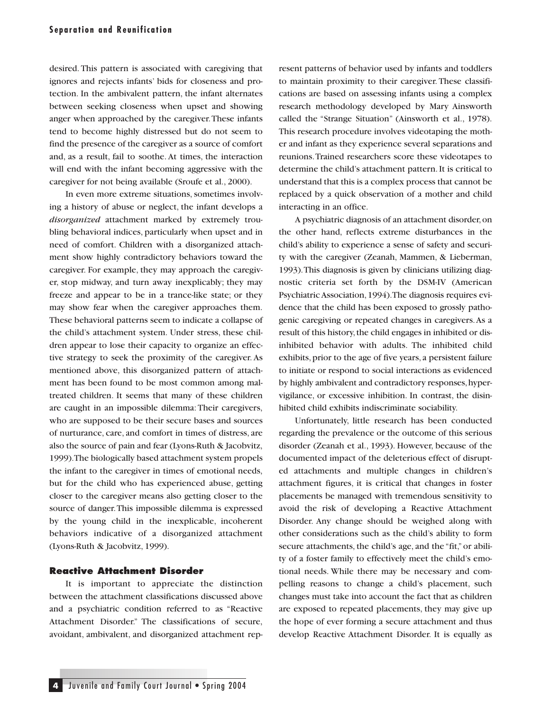# **Separation and Reunification**

desired. This pattern is associated with caregiving that ignores and rejects infants' bids for closeness and protection. In the ambivalent pattern, the infant alternates between seeking closeness when upset and showing anger when approached by the caregiver.These infants tend to become highly distressed but do not seem to find the presence of the caregiver as a source of comfort and, as a result, fail to soothe. At times, the interaction will end with the infant becoming aggressive with the caregiver for not being available (Sroufe et al., 2000).

In even more extreme situations, sometimes involving a history of abuse or neglect, the infant develops a *disorganized* attachment marked by extremely troubling behavioral indices, particularly when upset and in need of comfort. Children with a disorganized attachment show highly contradictory behaviors toward the caregiver. For example, they may approach the caregiver, stop midway, and turn away inexplicably; they may freeze and appear to be in a trance-like state; or they may show fear when the caregiver approaches them. These behavioral patterns seem to indicate a collapse of the child's attachment system. Under stress, these children appear to lose their capacity to organize an effective strategy to seek the proximity of the caregiver. As mentioned above, this disorganized pattern of attachment has been found to be most common among maltreated children. It seems that many of these children are caught in an impossible dilemma: Their caregivers, who are supposed to be their secure bases and sources of nurturance, care, and comfort in times of distress, are also the source of pain and fear (Lyons-Ruth & Jacobvitz, 1999).The biologically based attachment system propels the infant to the caregiver in times of emotional needs, but for the child who has experienced abuse, getting closer to the caregiver means also getting closer to the source of danger.This impossible dilemma is expressed by the young child in the inexplicable, incoherent behaviors indicative of a disorganized attachment (Lyons-Ruth & Jacobvitz, 1999).

# **Reactive Attachment Disorder**

It is important to appreciate the distinction between the attachment classifications discussed above and a psychiatric condition referred to as "Reactive Attachment Disorder." The classifications of secure, avoidant, ambivalent, and disorganized attachment represent patterns of behavior used by infants and toddlers to maintain proximity to their caregiver. These classifications are based on assessing infants using a complex research methodology developed by Mary Ainsworth called the "Strange Situation" (Ainsworth et al., 1978). This research procedure involves videotaping the mother and infant as they experience several separations and reunions.Trained researchers score these videotapes to determine the child's attachment pattern. It is critical to understand that this is a complex process that cannot be replaced by a quick observation of a mother and child interacting in an office.

A psychiatric diagnosis of an attachment disorder,on the other hand, reflects extreme disturbances in the child's ability to experience a sense of safety and security with the caregiver (Zeanah, Mammen, & Lieberman, 1993).This diagnosis is given by clinicians utilizing diagnostic criteria set forth by the DSM-IV (American Psychiatric Association,1994).The diagnosis requires evidence that the child has been exposed to grossly pathogenic caregiving or repeated changes in caregivers.As a result of this history,the child engages in inhibited or disinhibited behavior with adults. The inhibited child exhibits, prior to the age of five years, a persistent failure to initiate or respond to social interactions as evidenced by highly ambivalent and contradictory responses, hypervigilance, or excessive inhibition. In contrast, the disinhibited child exhibits indiscriminate sociability.

Unfortunately, little research has been conducted regarding the prevalence or the outcome of this serious disorder (Zeanah et al., 1993). However, because of the documented impact of the deleterious effect of disrupted attachments and multiple changes in children's attachment figures, it is critical that changes in foster placements be managed with tremendous sensitivity to avoid the risk of developing a Reactive Attachment Disorder. Any change should be weighed along with other considerations such as the child's ability to form secure attachments, the child's age, and the "fit," or ability of a foster family to effectively meet the child's emotional needs. While there may be necessary and compelling reasons to change a child's placement, such changes must take into account the fact that as children are exposed to repeated placements, they may give up the hope of ever forming a secure attachment and thus develop Reactive Attachment Disorder. It is equally as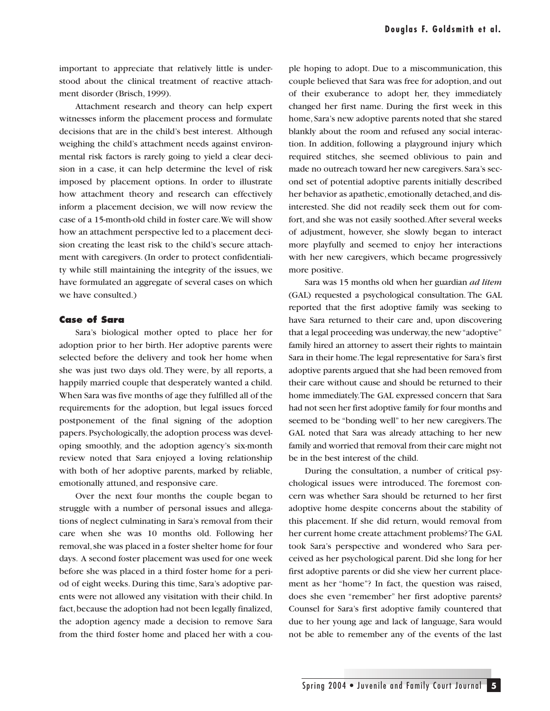important to appreciate that relatively little is understood about the clinical treatment of reactive attachment disorder (Brisch, 1999).

Attachment research and theory can help expert witnesses inform the placement process and formulate decisions that are in the child's best interest. Although weighing the child's attachment needs against environmental risk factors is rarely going to yield a clear decision in a case, it can help determine the level of risk imposed by placement options. In order to illustrate how attachment theory and research can effectively inform a placement decision, we will now review the case of a 15-month-old child in foster care.We will show how an attachment perspective led to a placement decision creating the least risk to the child's secure attachment with caregivers. (In order to protect confidentiality while still maintaining the integrity of the issues, we have formulated an aggregate of several cases on which we have consulted.)

# **Case of Sara**

Sara's biological mother opted to place her for adoption prior to her birth. Her adoptive parents were selected before the delivery and took her home when she was just two days old. They were, by all reports, a happily married couple that desperately wanted a child. When Sara was five months of age they fulfilled all of the requirements for the adoption, but legal issues forced postponement of the final signing of the adoption papers. Psychologically, the adoption process was developing smoothly, and the adoption agency's six-month review noted that Sara enjoyed a loving relationship with both of her adoptive parents, marked by reliable, emotionally attuned, and responsive care.

Over the next four months the couple began to struggle with a number of personal issues and allegations of neglect culminating in Sara's removal from their care when she was 10 months old. Following her removal, she was placed in a foster shelter home for four days. A second foster placement was used for one week before she was placed in a third foster home for a period of eight weeks. During this time, Sara's adoptive parents were not allowed any visitation with their child. In fact,because the adoption had not been legally finalized, the adoption agency made a decision to remove Sara from the third foster home and placed her with a cou-

ple hoping to adopt. Due to a miscommunication, this couple believed that Sara was free for adoption, and out of their exuberance to adopt her, they immediately changed her first name. During the first week in this home, Sara's new adoptive parents noted that she stared blankly about the room and refused any social interaction. In addition, following a playground injury which required stitches, she seemed oblivious to pain and made no outreach toward her new caregivers.Sara's second set of potential adoptive parents initially described her behavior as apathetic, emotionally detached, and disinterested. She did not readily seek them out for comfort, and she was not easily soothed.After several weeks of adjustment, however, she slowly began to interact more playfully and seemed to enjoy her interactions with her new caregivers, which became progressively more positive.

Sara was 15 months old when her guardian *ad litem* (GAL) requested a psychological consultation. The GAL reported that the first adoptive family was seeking to have Sara returned to their care and, upon discovering that a legal proceeding was underway, the new "adoptive" family hired an attorney to assert their rights to maintain Sara in their home.The legal representative for Sara's first adoptive parents argued that she had been removed from their care without cause and should be returned to their home immediately.The GAL expressed concern that Sara had not seen her first adoptive family for four months and seemed to be "bonding well" to her new caregivers.The GAL noted that Sara was already attaching to her new family and worried that removal from their care might not be in the best interest of the child.

During the consultation, a number of critical psychological issues were introduced. The foremost concern was whether Sara should be returned to her first adoptive home despite concerns about the stability of this placement. If she did return, would removal from her current home create attachment problems? The GAL took Sara's perspective and wondered who Sara perceived as her psychological parent. Did she long for her first adoptive parents or did she view her current placement as her "home"? In fact, the question was raised, does she even "remember" her first adoptive parents? Counsel for Sara's first adoptive family countered that due to her young age and lack of language, Sara would not be able to remember any of the events of the last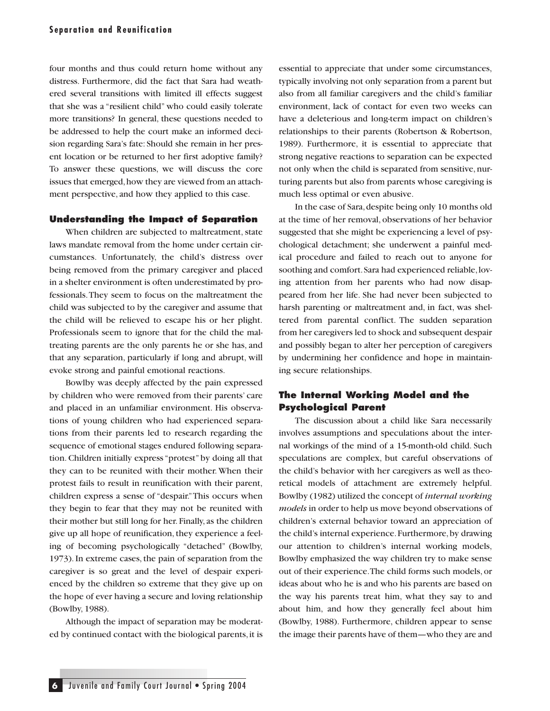four months and thus could return home without any distress. Furthermore, did the fact that Sara had weathered several transitions with limited ill effects suggest that she was a "resilient child" who could easily tolerate more transitions? In general, these questions needed to be addressed to help the court make an informed decision regarding Sara's fate: Should she remain in her present location or be returned to her first adoptive family? To answer these questions, we will discuss the core issues that emerged,how they are viewed from an attachment perspective, and how they applied to this case.

# **Understanding the Impact of Separation**

When children are subjected to maltreatment, state laws mandate removal from the home under certain circumstances. Unfortunately, the child's distress over being removed from the primary caregiver and placed in a shelter environment is often underestimated by professionals.They seem to focus on the maltreatment the child was subjected to by the caregiver and assume that the child will be relieved to escape his or her plight. Professionals seem to ignore that for the child the maltreating parents are the only parents he or she has, and that any separation, particularly if long and abrupt, will evoke strong and painful emotional reactions.

Bowlby was deeply affected by the pain expressed by children who were removed from their parents' care and placed in an unfamiliar environment. His observations of young children who had experienced separations from their parents led to research regarding the sequence of emotional stages endured following separation. Children initially express "protest" by doing all that they can to be reunited with their mother. When their protest fails to result in reunification with their parent, children express a sense of "despair."This occurs when they begin to fear that they may not be reunited with their mother but still long for her. Finally, as the children give up all hope of reunification, they experience a feeling of becoming psychologically "detached" (Bowlby, 1973). In extreme cases, the pain of separation from the caregiver is so great and the level of despair experienced by the children so extreme that they give up on the hope of ever having a secure and loving relationship (Bowlby, 1988).

Although the impact of separation may be moderated by continued contact with the biological parents,it is essential to appreciate that under some circumstances, typically involving not only separation from a parent but also from all familiar caregivers and the child's familiar environment, lack of contact for even two weeks can have a deleterious and long-term impact on children's relationships to their parents (Robertson & Robertson, 1989). Furthermore, it is essential to appreciate that strong negative reactions to separation can be expected not only when the child is separated from sensitive, nurturing parents but also from parents whose caregiving is much less optimal or even abusive.

In the case of Sara,despite being only 10 months old at the time of her removal, observations of her behavior suggested that she might be experiencing a level of psychological detachment; she underwent a painful medical procedure and failed to reach out to anyone for soothing and comfort. Sara had experienced reliable, loving attention from her parents who had now disappeared from her life. She had never been subjected to harsh parenting or maltreatment and, in fact, was sheltered from parental conflict. The sudden separation from her caregivers led to shock and subsequent despair and possibly began to alter her perception of caregivers by undermining her confidence and hope in maintaining secure relationships.

# **The Internal Working Model and the Psychological Parent**

The discussion about a child like Sara necessarily involves assumptions and speculations about the internal workings of the mind of a 15-month-old child. Such speculations are complex, but careful observations of the child's behavior with her caregivers as well as theoretical models of attachment are extremely helpful. Bowlby (1982) utilized the concept of *internal working models* in order to help us move beyond observations of children's external behavior toward an appreciation of the child's internal experience. Furthermore, by drawing our attention to children's internal working models, Bowlby emphasized the way children try to make sense out of their experience.The child forms such models, or ideas about who he is and who his parents are based on the way his parents treat him, what they say to and about him, and how they generally feel about him (Bowlby, 1988). Furthermore, children appear to sense the image their parents have of them—who they are and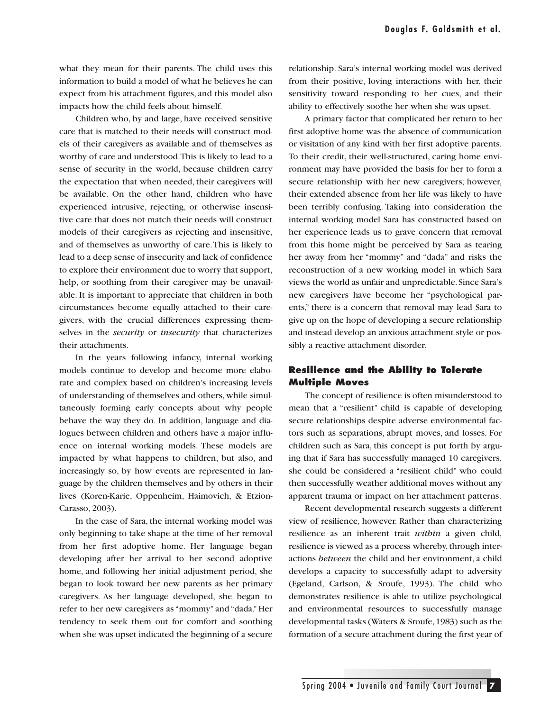what they mean for their parents. The child uses this information to build a model of what he believes he can expect from his attachment figures, and this model also impacts how the child feels about himself.

Children who, by and large, have received sensitive care that is matched to their needs will construct models of their caregivers as available and of themselves as worthy of care and understood.This is likely to lead to a sense of security in the world, because children carry the expectation that when needed, their caregivers will be available. On the other hand, children who have experienced intrusive, rejecting, or otherwise insensitive care that does not match their needs will construct models of their caregivers as rejecting and insensitive, and of themselves as unworthy of care.This is likely to lead to a deep sense of insecurity and lack of confidence to explore their environment due to worry that support, help, or soothing from their caregiver may be unavailable. It is important to appreciate that children in both circumstances become equally attached to their caregivers, with the crucial differences expressing themselves in the *security* or *insecurity* that characterizes their attachments.

In the years following infancy, internal working models continue to develop and become more elaborate and complex based on children's increasing levels of understanding of themselves and others, while simultaneously forming early concepts about why people behave the way they do. In addition, language and dialogues between children and others have a major influence on internal working models. These models are impacted by what happens to children, but also, and increasingly so, by how events are represented in language by the children themselves and by others in their lives (Koren-Karie, Oppenheim, Haimovich, & Etzion-Carasso, 2003).

In the case of Sara, the internal working model was only beginning to take shape at the time of her removal from her first adoptive home. Her language began developing after her arrival to her second adoptive home, and following her initial adjustment period, she began to look toward her new parents as her primary caregivers. As her language developed, she began to refer to her new caregivers as "mommy" and "dada." Her tendency to seek them out for comfort and soothing when she was upset indicated the beginning of a secure

relationship. Sara's internal working model was derived from their positive, loving interactions with her, their sensitivity toward responding to her cues, and their ability to effectively soothe her when she was upset.

A primary factor that complicated her return to her first adoptive home was the absence of communication or visitation of any kind with her first adoptive parents. To their credit, their well-structured, caring home environment may have provided the basis for her to form a secure relationship with her new caregivers; however, their extended absence from her life was likely to have been terribly confusing. Taking into consideration the internal working model Sara has constructed based on her experience leads us to grave concern that removal from this home might be perceived by Sara as tearing her away from her "mommy" and "dada" and risks the reconstruction of a new working model in which Sara views the world as unfair and unpredictable.Since Sara's new caregivers have become her "psychological parents," there is a concern that removal may lead Sara to give up on the hope of developing a secure relationship and instead develop an anxious attachment style or possibly a reactive attachment disorder.

# **Resilience and the Ability to Tolerate Multiple Moves**

The concept of resilience is often misunderstood to mean that a "resilient" child is capable of developing secure relationships despite adverse environmental factors such as separations, abrupt moves, and losses. For children such as Sara, this concept is put forth by arguing that if Sara has successfully managed 10 caregivers, she could be considered a "resilient child" who could then successfully weather additional moves without any apparent trauma or impact on her attachment patterns.

Recent developmental research suggests a different view of resilience, however. Rather than characterizing resilience as an inherent trait *within* a given child, resilience is viewed as a process whereby, through interactions *between* the child and her environment, a child develops a capacity to successfully adapt to adversity (Egeland, Carlson, & Sroufe, 1993). The child who demonstrates resilience is able to utilize psychological and environmental resources to successfully manage developmental tasks (Waters & Sroufe,1983) such as the formation of a secure attachment during the first year of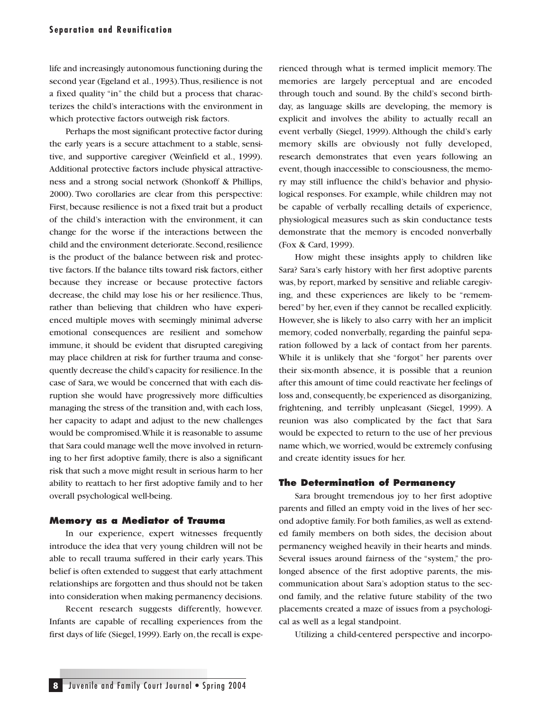# **Separation and Reunification**

life and increasingly autonomous functioning during the second year (Egeland et al., 1993).Thus, resilience is not a fixed quality "in" the child but a process that characterizes the child's interactions with the environment in which protective factors outweigh risk factors.

Perhaps the most significant protective factor during the early years is a secure attachment to a stable, sensitive, and supportive caregiver (Weinfield et al., 1999). Additional protective factors include physical attractiveness and a strong social network (Shonkoff & Phillips, 2000). Two corollaries are clear from this perspective: First, because resilience is not a fixed trait but a product of the child's interaction with the environment, it can change for the worse if the interactions between the child and the environment deteriorate. Second, resilience is the product of the balance between risk and protective factors. If the balance tilts toward risk factors, either because they increase or because protective factors decrease, the child may lose his or her resilience.Thus, rather than believing that children who have experienced multiple moves with seemingly minimal adverse emotional consequences are resilient and somehow immune, it should be evident that disrupted caregiving may place children at risk for further trauma and consequently decrease the child's capacity for resilience.In the case of Sara, we would be concerned that with each disruption she would have progressively more difficulties managing the stress of the transition and, with each loss, her capacity to adapt and adjust to the new challenges would be compromised.While it is reasonable to assume that Sara could manage well the move involved in returning to her first adoptive family, there is also a significant risk that such a move might result in serious harm to her ability to reattach to her first adoptive family and to her overall psychological well-being.

### **Memory as a Mediator of Trauma**

In our experience, expert witnesses frequently introduce the idea that very young children will not be able to recall trauma suffered in their early years. This belief is often extended to suggest that early attachment relationships are forgotten and thus should not be taken into consideration when making permanency decisions.

Recent research suggests differently, however. Infants are capable of recalling experiences from the first days of life (Siegel,1999).Early on,the recall is experienced through what is termed implicit memory. The memories are largely perceptual and are encoded through touch and sound. By the child's second birthday, as language skills are developing, the memory is explicit and involves the ability to actually recall an event verbally (Siegel, 1999). Although the child's early memory skills are obviously not fully developed, research demonstrates that even years following an event, though inaccessible to consciousness, the memory may still influence the child's behavior and physiological responses. For example, while children may not be capable of verbally recalling details of experience, physiological measures such as skin conductance tests demonstrate that the memory is encoded nonverbally (Fox & Card, 1999).

How might these insights apply to children like Sara? Sara's early history with her first adoptive parents was, by report, marked by sensitive and reliable caregiving, and these experiences are likely to be "remembered" by her, even if they cannot be recalled explicitly. However, she is likely to also carry with her an implicit memory, coded nonverbally, regarding the painful separation followed by a lack of contact from her parents. While it is unlikely that she "forgot" her parents over their six-month absence, it is possible that a reunion after this amount of time could reactivate her feelings of loss and, consequently, be experienced as disorganizing, frightening, and terribly unpleasant (Siegel, 1999). A reunion was also complicated by the fact that Sara would be expected to return to the use of her previous name which,we worried,would be extremely confusing and create identity issues for her.

# **The Determination of Permanency**

Sara brought tremendous joy to her first adoptive parents and filled an empty void in the lives of her second adoptive family. For both families, as well as extended family members on both sides, the decision about permanency weighed heavily in their hearts and minds. Several issues around fairness of the "system," the prolonged absence of the first adoptive parents, the miscommunication about Sara's adoption status to the second family, and the relative future stability of the two placements created a maze of issues from a psychological as well as a legal standpoint.

Utilizing a child-centered perspective and incorpo-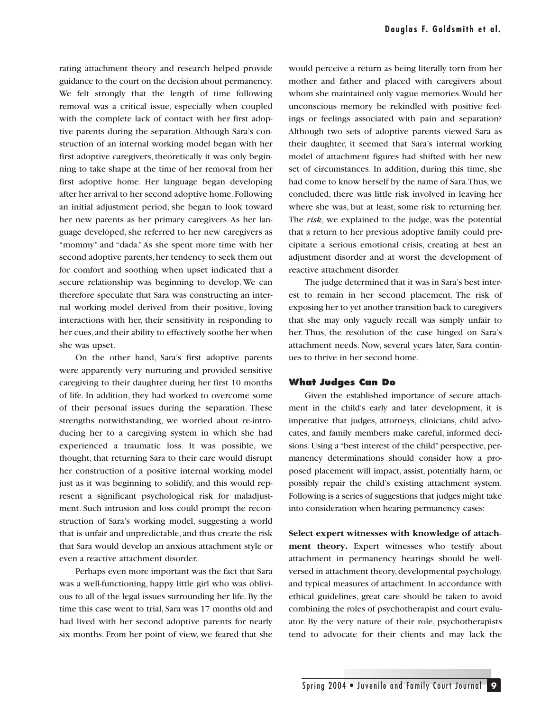rating attachment theory and research helped provide guidance to the court on the decision about permanency. We felt strongly that the length of time following removal was a critical issue, especially when coupled with the complete lack of contact with her first adoptive parents during the separation.Although Sara's construction of an internal working model began with her first adoptive caregivers, theoretically it was only beginning to take shape at the time of her removal from her first adoptive home. Her language began developing after her arrival to her second adoptive home.Following an initial adjustment period, she began to look toward her new parents as her primary caregivers. As her language developed, she referred to her new caregivers as "mommy" and "dada."As she spent more time with her second adoptive parents, her tendency to seek them out for comfort and soothing when upset indicated that a secure relationship was beginning to develop. We can therefore speculate that Sara was constructing an internal working model derived from their positive, loving interactions with her, their sensitivity in responding to her cues, and their ability to effectively soothe her when she was upset.

On the other hand, Sara's first adoptive parents were apparently very nurturing and provided sensitive caregiving to their daughter during her first 10 months of life. In addition, they had worked to overcome some of their personal issues during the separation. These strengths notwithstanding, we worried about re-introducing her to a caregiving system in which she had experienced a traumatic loss. It was possible, we thought, that returning Sara to their care would disrupt her construction of a positive internal working model just as it was beginning to solidify, and this would represent a significant psychological risk for maladjustment. Such intrusion and loss could prompt the reconstruction of Sara's working model, suggesting a world that is unfair and unpredictable, and thus create the risk that Sara would develop an anxious attachment style or even a reactive attachment disorder.

Perhaps even more important was the fact that Sara was a well-functioning, happy little girl who was oblivious to all of the legal issues surrounding her life. By the time this case went to trial, Sara was 17 months old and had lived with her second adoptive parents for nearly six months. From her point of view, we feared that she

would perceive a return as being literally torn from her mother and father and placed with caregivers about whom she maintained only vague memories.Would her unconscious memory be rekindled with positive feelings or feelings associated with pain and separation? Although two sets of adoptive parents viewed Sara as their daughter, it seemed that Sara's internal working model of attachment figures had shifted with her new set of circumstances. In addition, during this time, she had come to know herself by the name of Sara.Thus, we concluded, there was little risk involved in leaving her where she was, but at least, some risk to returning her. The *risk*, we explained to the judge, was the potential that a return to her previous adoptive family could precipitate a serious emotional crisis, creating at best an adjustment disorder and at worst the development of reactive attachment disorder.

The judge determined that it was in Sara's best interest to remain in her second placement. The risk of exposing her to yet another transition back to caregivers that she may only vaguely recall was simply unfair to her. Thus, the resolution of the case hinged on Sara's attachment needs. Now, several years later, Sara continues to thrive in her second home.

# **What Judges Can Do**

Given the established importance of secure attachment in the child's early and later development, it is imperative that judges, attorneys, clinicians, child advocates, and family members make careful, informed decisions. Using a "best interest of the child" perspective, permanency determinations should consider how a proposed placement will impact, assist, potentially harm, or possibly repair the child's existing attachment system. Following is a series of suggestions that judges might take into consideration when hearing permanency cases:

**Select expert witnesses with knowledge of attachment theory.** Expert witnesses who testify about attachment in permanency hearings should be wellversed in attachment theory, developmental psychology, and typical measures of attachment. In accordance with ethical guidelines, great care should be taken to avoid combining the roles of psychotherapist and court evaluator. By the very nature of their role, psychotherapists tend to advocate for their clients and may lack the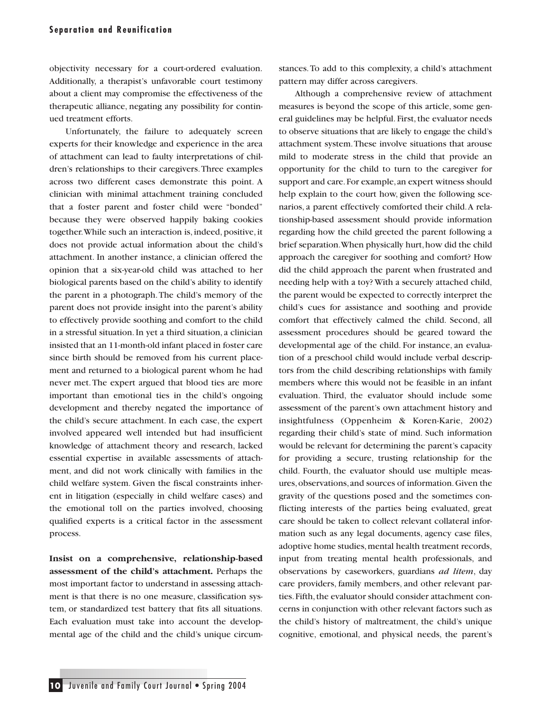objectivity necessary for a court-ordered evaluation. Additionally, a therapist's unfavorable court testimony about a client may compromise the effectiveness of the therapeutic alliance, negating any possibility for continued treatment efforts.

Unfortunately, the failure to adequately screen experts for their knowledge and experience in the area of attachment can lead to faulty interpretations of children's relationships to their caregivers.Three examples across two different cases demonstrate this point. A clinician with minimal attachment training concluded that a foster parent and foster child were "bonded" because they were observed happily baking cookies together.While such an interaction is, indeed, positive, it does not provide actual information about the child's attachment. In another instance, a clinician offered the opinion that a six-year-old child was attached to her biological parents based on the child's ability to identify the parent in a photograph.The child's memory of the parent does not provide insight into the parent's ability to effectively provide soothing and comfort to the child in a stressful situation. In yet a third situation, a clinician insisted that an 11-month-old infant placed in foster care since birth should be removed from his current placement and returned to a biological parent whom he had never met.The expert argued that blood ties are more important than emotional ties in the child's ongoing development and thereby negated the importance of the child's secure attachment. In each case, the expert involved appeared well intended but had insufficient knowledge of attachment theory and research, lacked essential expertise in available assessments of attachment, and did not work clinically with families in the child welfare system. Given the fiscal constraints inherent in litigation (especially in child welfare cases) and the emotional toll on the parties involved, choosing qualified experts is a critical factor in the assessment process.

**Insist on a comprehensive, relationship-based assessment of the child's attachment.** Perhaps the most important factor to understand in assessing attachment is that there is no one measure, classification system, or standardized test battery that fits all situations. Each evaluation must take into account the developmental age of the child and the child's unique circumstances.To add to this complexity, a child's attachment pattern may differ across caregivers.

Although a comprehensive review of attachment measures is beyond the scope of this article, some general guidelines may be helpful. First, the evaluator needs to observe situations that are likely to engage the child's attachment system.These involve situations that arouse mild to moderate stress in the child that provide an opportunity for the child to turn to the caregiver for support and care. For example, an expert witness should help explain to the court how, given the following scenarios, a parent effectively comforted their child.A relationship-based assessment should provide information regarding how the child greeted the parent following a brief separation. When physically hurt, how did the child approach the caregiver for soothing and comfort? How did the child approach the parent when frustrated and needing help with a toy? With a securely attached child, the parent would be expected to correctly interpret the child's cues for assistance and soothing and provide comfort that effectively calmed the child. Second, all assessment procedures should be geared toward the developmental age of the child. For instance, an evaluation of a preschool child would include verbal descriptors from the child describing relationships with family members where this would not be feasible in an infant evaluation. Third, the evaluator should include some assessment of the parent's own attachment history and insightfulness (Oppenheim & Koren-Karie, 2002) regarding their child's state of mind. Such information would be relevant for determining the parent's capacity for providing a secure, trusting relationship for the child. Fourth, the evaluator should use multiple measures,observations,and sources of information.Given the gravity of the questions posed and the sometimes conflicting interests of the parties being evaluated, great care should be taken to collect relevant collateral information such as any legal documents, agency case files, adoptive home studies, mental health treatment records, input from treating mental health professionals, and observations by caseworkers, guardians *ad litem*, day care providers, family members, and other relevant parties. Fifth, the evaluator should consider attachment concerns in conjunction with other relevant factors such as the child's history of maltreatment, the child's unique cognitive, emotional, and physical needs, the parent's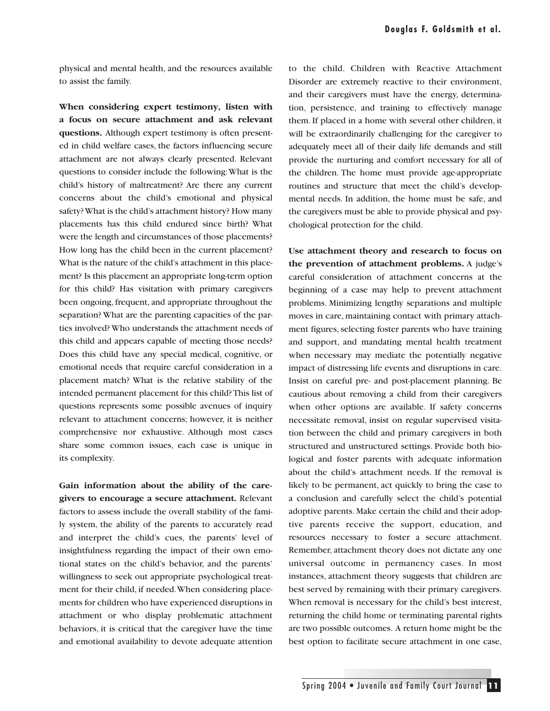physical and mental health, and the resources available to assist the family.

**When considering expert testimony, listen with a focus on secure attachment and ask relevant questions.** Although expert testimony is often presented in child welfare cases, the factors influencing secure attachment are not always clearly presented. Relevant questions to consider include the following:What is the child's history of maltreatment? Are there any current concerns about the child's emotional and physical safety? What is the child's attachment history? How many placements has this child endured since birth? What were the length and circumstances of those placements? How long has the child been in the current placement? What is the nature of the child's attachment in this placement? Is this placement an appropriate long-term option for this child? Has visitation with primary caregivers been ongoing, frequent, and appropriate throughout the separation? What are the parenting capacities of the parties involved? Who understands the attachment needs of this child and appears capable of meeting those needs? Does this child have any special medical, cognitive, or emotional needs that require careful consideration in a placement match? What is the relative stability of the intended permanent placement for this child? This list of questions represents some possible avenues of inquiry relevant to attachment concerns; however, it is neither comprehensive nor exhaustive. Although most cases share some common issues, each case is unique in its complexity.

**Gain information about the ability of the caregivers to encourage a secure attachment.** Relevant factors to assess include the overall stability of the family system, the ability of the parents to accurately read and interpret the child's cues, the parents' level of insightfulness regarding the impact of their own emotional states on the child's behavior, and the parents' willingness to seek out appropriate psychological treatment for their child, if needed.When considering placements for children who have experienced disruptions in attachment or who display problematic attachment behaviors, it is critical that the caregiver have the time and emotional availability to devote adequate attention

to the child. Children with Reactive Attachment Disorder are extremely reactive to their environment, and their caregivers must have the energy, determination, persistence, and training to effectively manage them. If placed in a home with several other children, it will be extraordinarily challenging for the caregiver to adequately meet all of their daily life demands and still provide the nurturing and comfort necessary for all of the children. The home must provide age-appropriate routines and structure that meet the child's developmental needs. In addition, the home must be safe, and the caregivers must be able to provide physical and psychological protection for the child.

**Use attachment theory and research to focus on the prevention of attachment problems.** A judge's careful consideration of attachment concerns at the beginning of a case may help to prevent attachment problems. Minimizing lengthy separations and multiple moves in care, maintaining contact with primary attachment figures, selecting foster parents who have training and support, and mandating mental health treatment when necessary may mediate the potentially negative impact of distressing life events and disruptions in care. Insist on careful pre- and post-placement planning. Be cautious about removing a child from their caregivers when other options are available. If safety concerns necessitate removal, insist on regular supervised visitation between the child and primary caregivers in both structured and unstructured settings. Provide both biological and foster parents with adequate information about the child's attachment needs. If the removal is likely to be permanent, act quickly to bring the case to a conclusion and carefully select the child's potential adoptive parents. Make certain the child and their adoptive parents receive the support, education, and resources necessary to foster a secure attachment. Remember, attachment theory does not dictate any one universal outcome in permanency cases. In most instances, attachment theory suggests that children are best served by remaining with their primary caregivers. When removal is necessary for the child's best interest, returning the child home or terminating parental rights are two possible outcomes. A return home might be the best option to facilitate secure attachment in one case,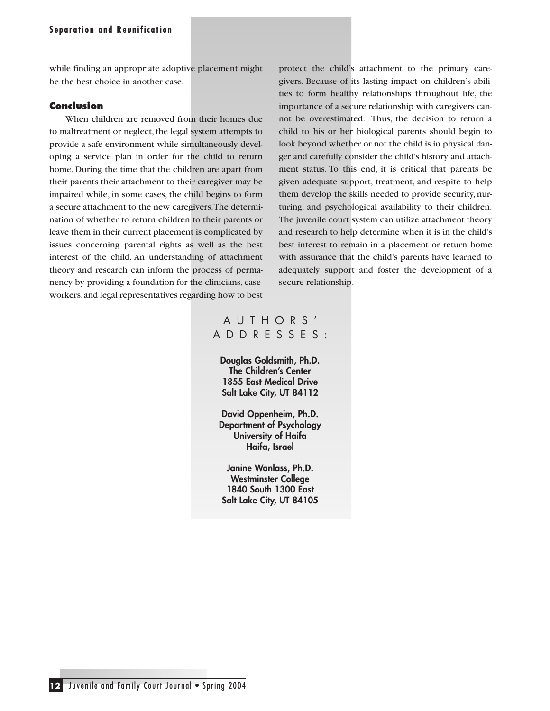while finding an appropriate adoptive placement might be the best choice in another case.

# **Conclusion**

When children are removed from their homes due to maltreatment or neglect, the legal system attempts to provide a safe environment while simultaneously developing a service plan in order for the child to return home. During the time that the children are apart from their parents their attachment to their caregiver may be impaired while, in some cases, the child begins to form a secure attachment to the new caregivers.The determination of whether to return children to their parents or leave them in their current placement is complicated by issues concerning parental rights as well as the best interest of the child. An understanding of attachment theory and research can inform the process of permanency by providing a foundation for the clinicians, caseworkers,and legal representatives regarding how to best

protect the child's attachment to the primary caregivers. Because of its lasting impact on children's abilities to form healthy relationships throughout life, the importance of a secure relationship with caregivers cannot be overestimated. Thus, the decision to return a child to his or her biological parents should begin to look beyond whether or not the child is in physical danger and carefully consider the child's history and attachment status. To this end, it is critical that parents be given adequate support, treatment, and respite to help them develop the skills needed to provide security, nurturing, and psychological availability to their children. The juvenile court system can utilize attachment theory and research to help determine when it is in the child's best interest to remain in a placement or return home with assurance that the child's parents have learned to adequately support and foster the development of a secure relationship.

# AUTHORS ' ADDRESSES: **Douglas Goldsmith, Ph.D. The Children's Center 1855 East Medical Drive**

**David Oppenheim, Ph.D. Department of Psychology University of Haifa Haifa, Israel**

**Salt Lake City, UT 84112**

**Janine Wanlass, Ph.D. Westminster College 1840 South 1300 East Salt Lake City, UT 84105**